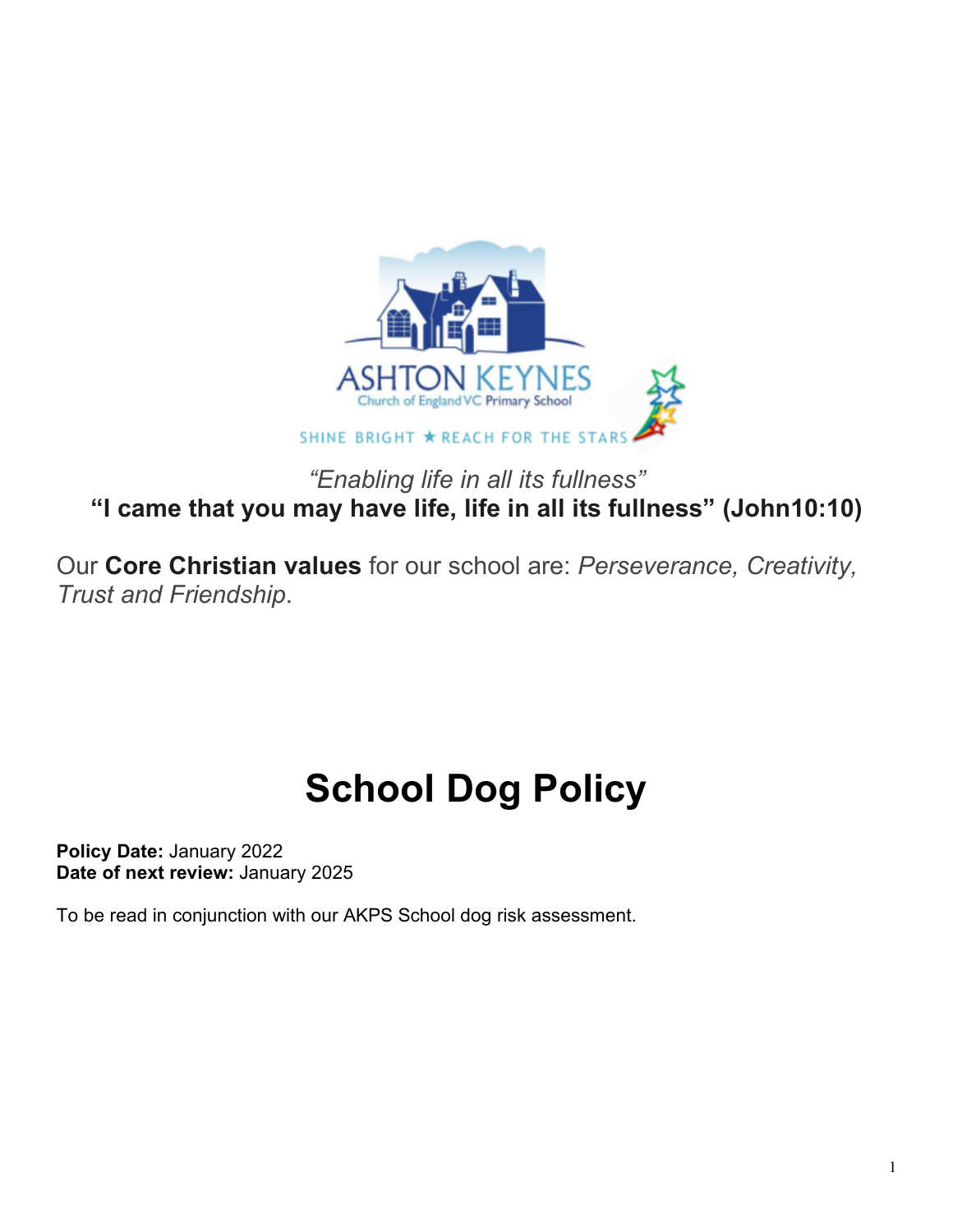

*"Enabling life in all its fullness"* **"I came that you may have life, life in all its fullness" (John10:10)**

Our **Core Christian values** for our school are: *Perseverance, Creativity, Trust and Friendship*.

# **School Dog Policy**

**Policy Date:** January 2022 **Date of next review:** January 2025

To be read in conjunction with our AKPS School dog risk assessment.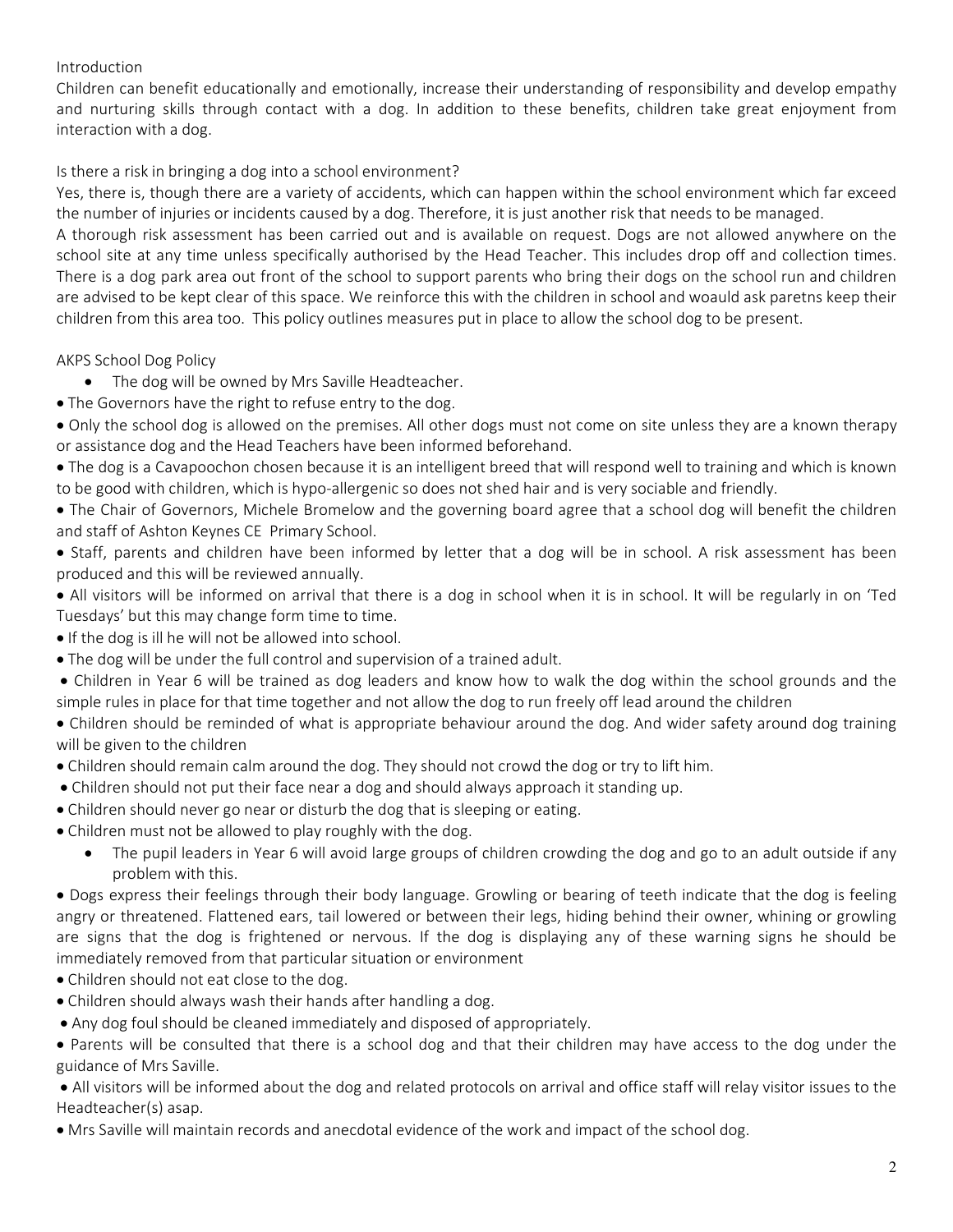### Introduction

Children can benefit educationally and emotionally, increase their understanding of responsibility and develop empathy and nurturing skills through contact with a dog. In addition to these benefits, children take great enjoyment from interaction with a dog.

## Is there a risk in bringing a dog into a school environment?

Yes, there is, though there are a variety of accidents, which can happen within the school environment which far exceed the number of injuries or incidents caused by a dog. Therefore, it is just another risk that needs to be managed.

A thorough risk assessment has been carried out and is available on request. Dogs are not allowed anywhere on the school site at any time unless specifically authorised by the Head Teacher. This includes drop off and collection times. There is a dog park area out front of the school to support parents who bring their dogs on the school run and children are advised to be kept clear of this space. We reinforce this with the children in school and woauld ask paretns keep their children from this area too. This policy outlines measures put in place to allow the school dog to be present.

## AKPS School Dog Policy

- The dog will be owned by Mrs Saville Headteacher.
- The Governors have the right to refuse entry to the dog.
- Only the school dog is allowed on the premises. All other dogs must not come on site unless they are a known therapy or assistance dog and the Head Teachers have been informed beforehand.

• The dog is a Cavapoochon chosen because it is an intelligent breed that will respond well to training and which is known to be good with children, which is hypo-allergenic so does not shed hair and is very sociable and friendly.

• The Chair of Governors, Michele Bromelow and the governing board agree that a school dog will benefit the children and staff of Ashton Keynes CE Primary School.

- Staff, parents and children have been informed by letter that a dog will be in school. A risk assessment has been produced and this will be reviewed annually.
- All visitors will be informed on arrival that there is a dog in school when it is in school. It will be regularly in on 'Ted Tuesdays' but this may change form time to time.
- If the dog is ill he will not be allowed into school.
- The dog will be under the full control and supervision of a trained adult.
- Children in Year 6 will be trained as dog leaders and know how to walk the dog within the school grounds and the simple rules in place for that time together and not allow the dog to run freely off lead around the children

• Children should be reminded of what is appropriate behaviour around the dog. And wider safety around dog training will be given to the children

- Children should remain calm around the dog. They should not crowd the dog or try to lift him.
- Children should not put their face near a dog and should always approach it standing up.
- Children should never go near or disturb the dog that is sleeping or eating.
- Children must not be allowed to play roughly with the dog.
	- The pupil leaders in Year 6 will avoid large groups of children crowding the dog and go to an adult outside if any problem with this.

• Dogs express their feelings through their body language. Growling or bearing of teeth indicate that the dog is feeling angry or threatened. Flattened ears, tail lowered or between their legs, hiding behind their owner, whining or growling are signs that the dog is frightened or nervous. If the dog is displaying any of these warning signs he should be immediately removed from that particular situation or environment

- Children should not eat close to the dog.
- Children should always wash their hands after handling a dog.
- Any dog foul should be cleaned immediately and disposed of appropriately.

• Parents will be consulted that there is a school dog and that their children may have access to the dog under the guidance of Mrs Saville.

• All visitors will be informed about the dog and related protocols on arrival and office staff will relay visitor issues to the Headteacher(s) asap.

• Mrs Saville will maintain records and anecdotal evidence of the work and impact of the school dog.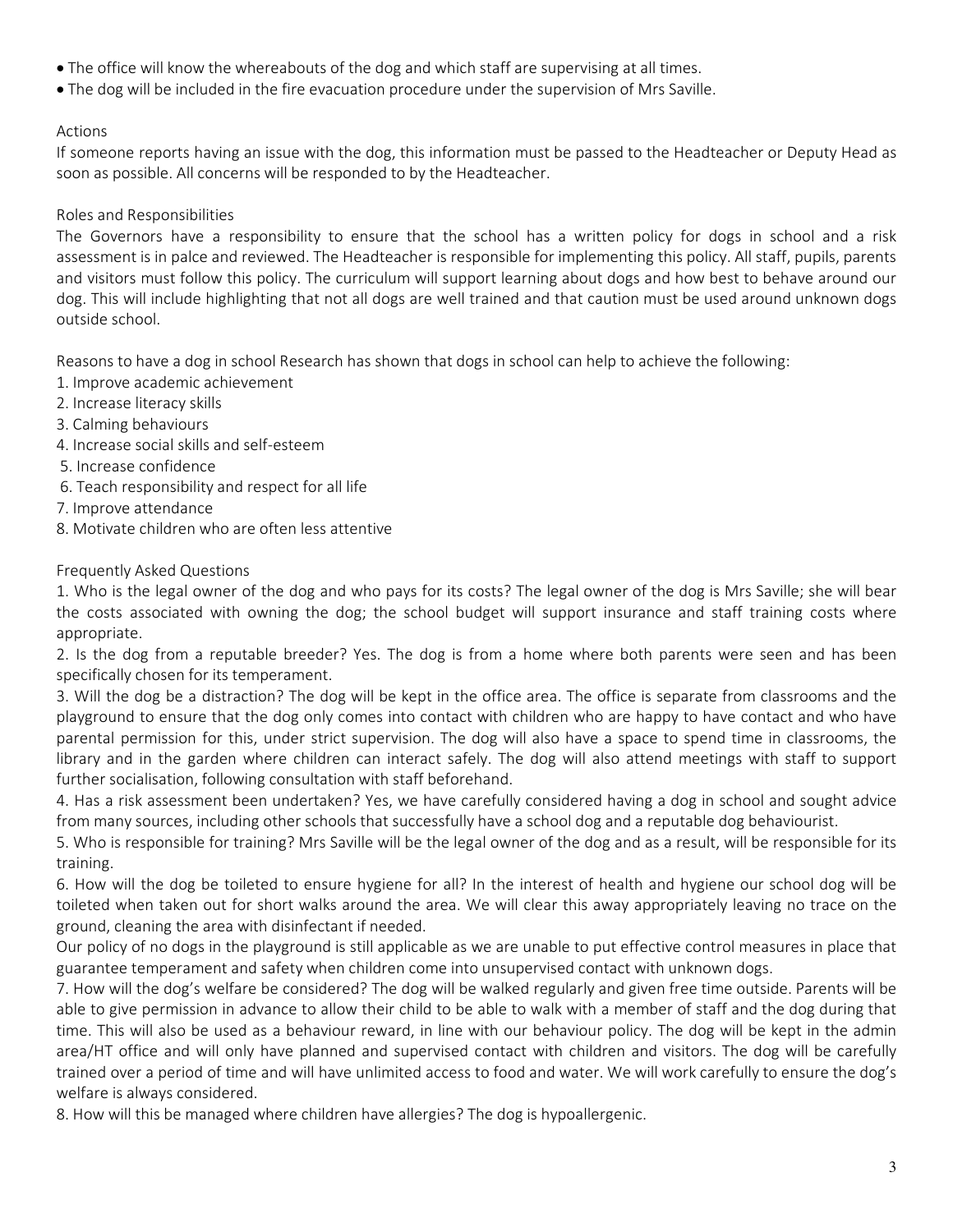- The office will know the whereabouts of the dog and which staff are supervising at all times.
- The dog will be included in the fire evacuation procedure under the supervision of Mrs Saville.

#### Actions

If someone reports having an issue with the dog, this information must be passed to the Headteacher or Deputy Head as soon as possible. All concerns will be responded to by the Headteacher.

#### Roles and Responsibilities

The Governors have a responsibility to ensure that the school has a written policy for dogs in school and a risk assessment is in palce and reviewed. The Headteacher is responsible for implementing this policy. All staff, pupils, parents and visitors must follow this policy. The curriculum will support learning about dogs and how best to behave around our dog. This will include highlighting that not all dogs are well trained and that caution must be used around unknown dogs outside school.

Reasons to have a dog in school Research has shown that dogs in school can help to achieve the following:

- 1. Improve academic achievement
- 2. Increase literacy skills
- 3. Calming behaviours
- 4. Increase social skills and self-esteem
- 5. Increase confidence
- 6. Teach responsibility and respect for all life
- 7. Improve attendance
- 8. Motivate children who are often less attentive

#### Frequently Asked Questions

1. Who is the legal owner of the dog and who pays for its costs? The legal owner of the dog is Mrs Saville; she will bear the costs associated with owning the dog; the school budget will support insurance and staff training costs where appropriate.

2. Is the dog from a reputable breeder? Yes. The dog is from a home where both parents were seen and has been specifically chosen for its temperament.

3. Will the dog be a distraction? The dog will be kept in the office area. The office is separate from classrooms and the playground to ensure that the dog only comes into contact with children who are happy to have contact and who have parental permission for this, under strict supervision. The dog will also have a space to spend time in classrooms, the library and in the garden where children can interact safely. The dog will also attend meetings with staff to support further socialisation, following consultation with staff beforehand.

4. Has a risk assessment been undertaken? Yes, we have carefully considered having a dog in school and sought advice from many sources, including other schools that successfully have a school dog and a reputable dog behaviourist.

5. Who is responsible for training? Mrs Saville will be the legal owner of the dog and as a result, will be responsible for its training.

6. How will the dog be toileted to ensure hygiene for all? In the interest of health and hygiene our school dog will be toileted when taken out for short walks around the area. We will clear this away appropriately leaving no trace on the ground, cleaning the area with disinfectant if needed.

Our policy of no dogs in the playground is still applicable as we are unable to put effective control measures in place that guarantee temperament and safety when children come into unsupervised contact with unknown dogs.

7. How will the dog's welfare be considered? The dog will be walked regularly and given free time outside. Parents will be able to give permission in advance to allow their child to be able to walk with a member of staff and the dog during that time. This will also be used as a behaviour reward, in line with our behaviour policy. The dog will be kept in the admin area/HT office and will only have planned and supervised contact with children and visitors. The dog will be carefully trained over a period of time and will have unlimited access to food and water. We will work carefully to ensure the dog's welfare is always considered.

8. How will this be managed where children have allergies? The dog is hypoallergenic.